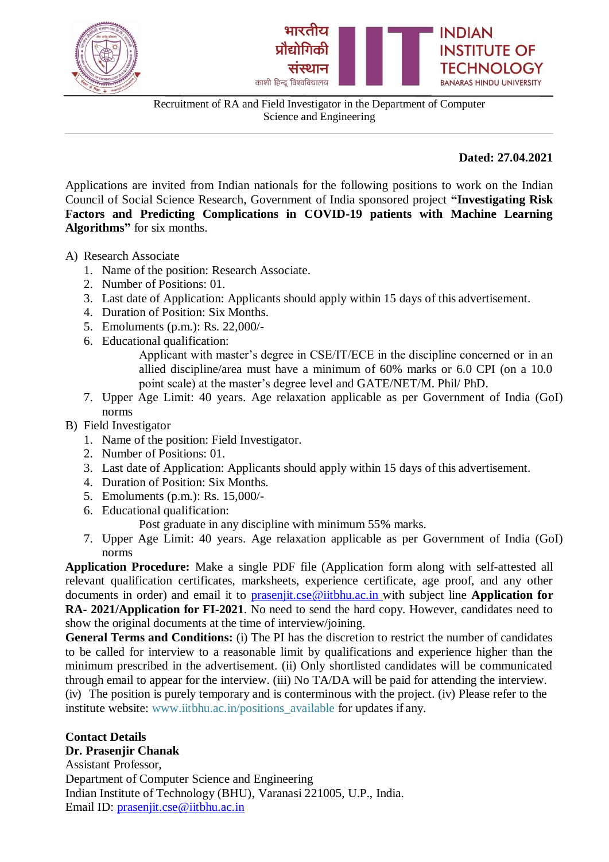



Recruitment of RA and Field Investigator in the Department of Computer Science and Engineering

**Dated: 27.04.2021**

Applications are invited from Indian nationals for the following positions to work on the Indian Council of Social Science Research, Government of India sponsored project **"Investigating Risk Factors and Predicting Complications in COVID-19 patients with Machine Learning Algorithms"** for six months.

A) Research Associate

- 1. Name of the position: Research Associate.
- 2. Number of Positions: 01.
- 3. Last date of Application: Applicants should apply within 15 days of this advertisement.
- 4. Duration of Position: Six Months.
- 5. Emoluments (p.m.): Rs. 22,000/-
- 6. Educational qualification:
	- Applicant with master's degree in CSE/IT/ECE in the discipline concerned or in an allied discipline/area must have a minimum of 60% marks or 6.0 CPI (on a 10.0 point scale) at the master's degree level and GATE/NET/M. Phil/ PhD.
- 7. Upper Age Limit: 40 years. Age relaxation applicable as per Government of India (GoI) norms

### B) Field Investigator

- 1. Name of the position: Field Investigator.
- 2. Number of Positions: 01.
- 3. Last date of Application: Applicants should apply within 15 days of this advertisement.
- 4. Duration of Position: Six Months.
- 5. Emoluments (p.m.): Rs. 15,000/-
- 6. Educational qualification:

Post graduate in any discipline with minimum 55% marks.

7. Upper Age Limit: 40 years. Age relaxation applicable as per Government of India (GoI) norms

**Application Procedure:** Make a single PDF file (Application form along with self-attested all relevant qualification certificates, marksheets, experience certificate, age proof, and any other documents in order) and email it to [prasenjit.cse@iitbhu.ac.in](mailto:prasenjit.cse@iitbhu.ac.in) with subject line **Application for RA- 2021/Application for FI-2021**. No need to send the hard copy. However, candidates need to show the original documents at the time of interview/joining.

**General Terms and Conditions:** (i) The PI has the discretion to restrict the number of candidates to be called for interview to a reasonable limit by qualifications and experience higher than the minimum prescribed in the advertisement. (ii) Only shortlisted candidates will be communicated through email to appear for the interview. (iii) No TA/DA will be paid for attending the interview. (iv) The position is purely temporary and is conterminous with the project. (iv) Please refer to the institute website: [www.iitbhu.ac.in/positions\\_available f](http://www.iitbhu.ac.in/positions_available)or updates if any.

# **Contact Details**

**Dr. Prasenjir Chanak**

Assistant Professor, Department of Computer Science and Engineering Indian Institute of Technology (BHU), Varanasi 221005, U.P., India. Email ID: [prasenjit.cse@iitbhu.ac.in](mailto:prasenjit.cse@iitbhu.ac.in)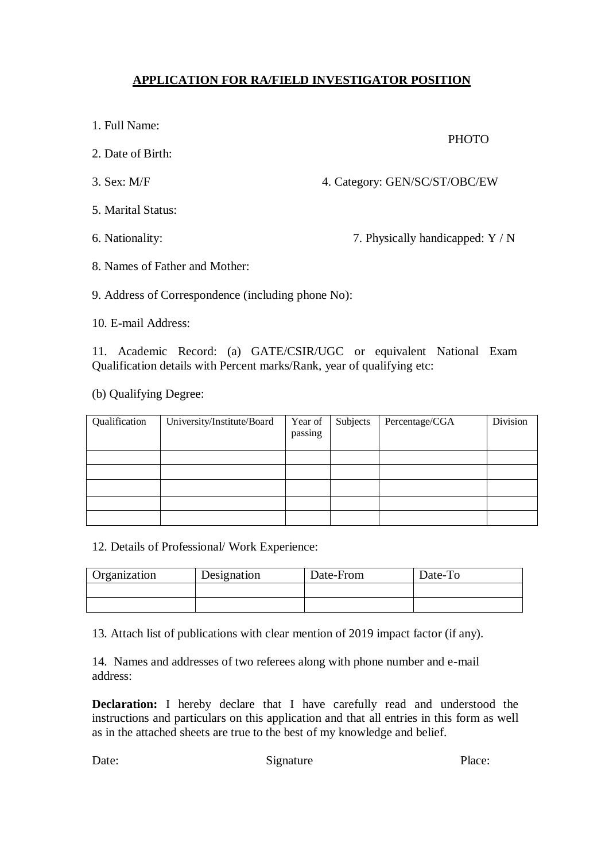## **APPLICATION FOR RA/FIELD INVESTIGATOR POSITION**

- 1. Full Name:
- 2. Date of Birth:
- 

3. Sex: M/F 4. Category: GEN/SC/ST/OBC/EW

- 5. Marital Status:
- 

6. Nationality: 7. Physically handicapped: Y / N

PHOTO

8. Names of Father and Mother:

9. Address of Correspondence (including phone No):

10. E-mail Address:

11. Academic Record: (a) GATE/CSIR/UGC or equivalent National Exam Qualification details with Percent marks/Rank, year of qualifying etc:

(b) Qualifying Degree:

| Qualification | University/Institute/Board | Year of<br>passing | Subjects | Percentage/CGA | Division |
|---------------|----------------------------|--------------------|----------|----------------|----------|
|               |                            |                    |          |                |          |
|               |                            |                    |          |                |          |
|               |                            |                    |          |                |          |
|               |                            |                    |          |                |          |
|               |                            |                    |          |                |          |

#### 12. Details of Professional/ Work Experience:

| Organization | Designation | Date-From | Date-To |
|--------------|-------------|-----------|---------|
|              |             |           |         |
|              |             |           |         |

13. Attach list of publications with clear mention of 2019 impact factor (if any).

14. Names and addresses of two referees along with phone number and e-mail address:

**Declaration:** I hereby declare that I have carefully read and understood the instructions and particulars on this application and that all entries in this form as well as in the attached sheets are true to the best of my knowledge and belief.

Date: Signature Place: